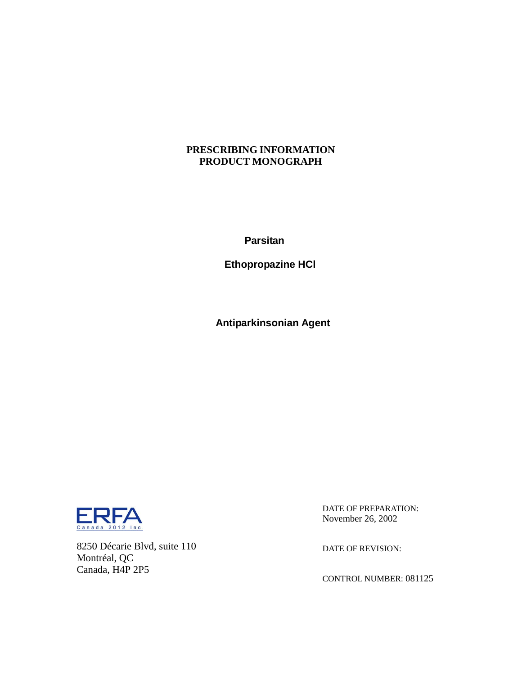## **PRESCRIBING INFORMATION PRODUCT MONOGRAPH**

**Parsitan**

 **Ethopropazine HCl**

 **Antiparkinsonian Agent**



8250 Décarie Blvd, suite 110 Montréal, QC Canada, H4P 2P5

DATE OF PREPARATION: November 26, 2002

DATE OF REVISION:

CONTROL NUMBER: 081125